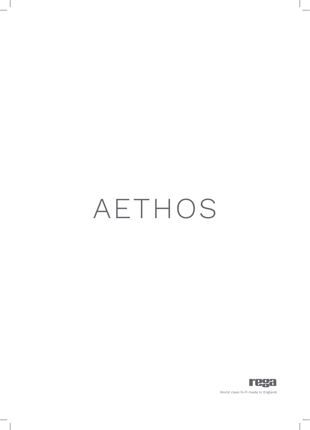# AETHOS

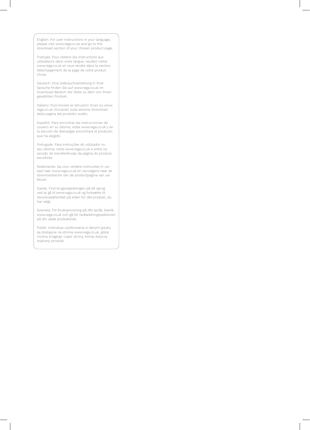English: For user instructions in your language, please visit www.rega.co.uk and go to the download section of your chosen product page.

Français: Pour obtenir les instructions aux utilisateurs dans votre langue, veuillez visiter www.rega.co.uk et vous rendre dans la section téléchargement de la page de votre produit choisi.

Deutsch: Eine Gebrauchsanleitung in Ihrer Sprache finden Sie auf www.rega.co.uk im Download-Bereich der Seite zu dem von Ihnen gewählten Produkt.

Italiano: Puoi trovare le istruzioni d'uso su www. rega.co.uk cliccando sulla sezione Download della pagina del prodotto scelto.

Español: Para encontrar las instrucciones de usuario en su idioma, visite www.rega.co.uk y en la sección de descargas encontrará el producto que ha elegido.

Português: Para instruções do utilizador no seu idioma, visite www.rega.co.uk e entre na secção de transferências da página do produto escolhido.

Nederlands: Ga voor verdere instructies in uw taal naar www.rega.co.uk en vervolgens naar de downloadsectie van de productpagina van uw keuze.

Dansk: Find brugsvejledningen på dit sprog ved at gå til www.rega.co.uk og fortsætte til downloadafsnittet på siden for det produkt, du har valgt.

Svenska: För bruksanvisning på ditt språk, besök www.rega.co.uk och gå till nedladdningssektionen på din valda produktsida.

Polski: Instrukcje użytkowania w danym języku są dostępne na stronie www.rega.co.uk, gdzie można ściągnąć część strony, której dotyczy wybrany produkt.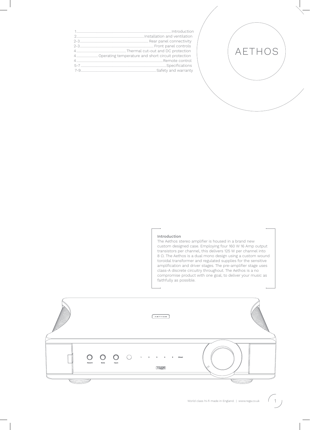#### Introduction

The Aethos stereo amplifier is housed in a brand new custom designed case. Employing four 160 W 16 Amp output transistors per channel, this delivers 125 W per channel into 8 Ω. The Aethos is a dual mono design using a custom wound toroidal transformer and regulated supplies for the sensitive amplification and driver stages. The pre-amplifier stage uses class-A discrete circuitry throughout. The Aethos is a no compromise product with one goal, to deliver your music as faithfully as possible.

AETHOS



 $(1)$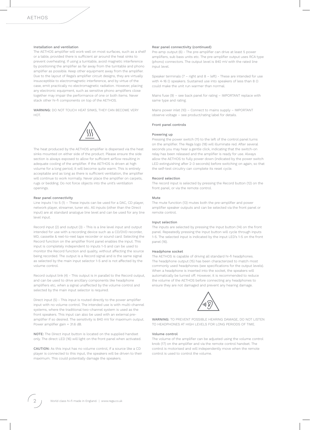#### Installation and ventilation

The AETHOS amplifier will work well on most surfaces, such as a shelf or a table, provided there is sufficient air around the heat sinks to prevent overheating. If using a turntable, avoid magnetic interference by positioning the amplifier as far away from the turntable and phono amplifier as possible. Keep other equipment away from the amplifier. Due to the layout of Rega's amplifier circuit designs, they are virtually insusceptible to electromagnetic interference, and by virtue of the case, emit practically no electromagnetic radiation. However, placing any electronic equipment, such as sensitive phono amplifiers close together may impair the performance of one or both items. Never stack other hi-fi components on top of the AETHOS.

WARNING: DO NOT TOUCH HEAT SINKS, THEY CAN BECOME VERY HOT.



The heat produced by the AETHOS amplifier is dispersed via the heat sinks mounted on either side of the product. Please ensure the side section is always exposed to allow for sufficient airflow resulting in adequate cooling of the amplifier. If the AETHOS is driven at high volume for a long period, it will become quite warm. This is entirely acceptable and as long as there is sufficient ventilation, the amplifier will continue to work normally. Never place the amplifier on carpets, rugs or bedding. Do not force objects into the unit's ventilation openings.

#### Rear panel connectivity

Line inputs 1 to 5 (1) – These inputs can be used for a DAC, CD player, network player, streamer, tuner etc. All inputs (other than the Direct input) are at standard analogue line level and can be used for any line level input.

Record input (2) and output (3) - This is a line level input and output intended for use with a recording device such as a CD/DVD recorder, MD, cassette & reel-to-reel tape recorder or sound card. Selecting the Record function on the amplifier front panel enables the input. This input is completely independent to inputs 1-5 and can be used to monitor the Record function and quality, without affecting the source being recorded. The output is a Record signal and is the same signal as selected by the main input selector 1-5 and is not affected by the volume control.

Record output link (4) - This output is in parallel to the Record output, and can be used to drive ancillary components like headphone amplifiers etc, when a signal unaffected by the volume control and selected by the main input selector is required.

Direct input (5) - This input is routed directly to the power amplifier input with no volume control. The intended use is with multi-channel systems, where the traditional two-channel system is used as the front speakers. This input can also be used with an external preamplifier if so desired. The sensitivity is 840 mV for maximum output. Power amplifier gain = 31.6 dB.

NOTE: The Direct input button is located on the supplied handset only. The direct LED (16) will light on the front panel when activated.

CAUTION: As this input has no volume control, if a source like a CD player is connected to this input, the speakers will be driven to their maximum. This could potentially damage the speakers.

#### Rear panel connectivity (continued)

Pre-amp output (6) - The pre-amplifier can drive at least 5 power amplifiers, sub bass units etc. The pre-amplifier output uses RCA type (phono) connectors. The output level is 840 mV with the rated line input level.

Speaker terminals (7 – right and 8 – left) - These are intended for use with 4-16 Ω speakers. Sustained use into speakers of less than 8 Ω could make the unit run warmer than normal.

Mains fuse (9) – see back panel for rating – IMPORTANT replace with same type and rating.

Mains power inlet (10) – Connect to mains supply – IMPORTANT observe voltage – see product/rating label for details.

#### Front panel controls

#### Powering up

Pressing the power switch (11) to the left of the control panel turns on the amplifier. The Rega logo (18) will illuminate red. After several seconds you may hear a gentle click, indicating that the switch-on relay has been released and the amplifier is ready for use. Always allow the AETHOS to fully power down (indicated by the power switch LED extinguishing after 2-3 seconds) before switching on again, so that the self-test circuitry can complete its reset cycle.

#### Record selection

The record input is selected by pressing the Record button (12) on the front panel, or via the remote control.

#### Mute

The mute function (13) mutes both the pre-amplifier and power amplifier speaker outputs and can be selected via the front panel or remote control.

#### Input selection

The inputs are selected by pressing the Input button (14) on the front panel. Repeatedly pressing the Input button will cycle through inputs 1-5. The selected input is indicated by the input LED's 1-5 on the front panel (16).

#### Headphone socket

The AETHOS is capable of driving all standard hi-fi headphones. The headphone output (15) has been characterized to match most commonly used headphones (see specifications for the output levels). When a headphone is inserted into the socket, the speakers will automatically be turned off. However, it is recommended to reduce the volume of the AETHOS before connecting any headphones to ensure they are not damaged and prevent any hearing damage.



WARNING: TO PREVENT POSSIBLE HEARING DAMAGE, DO NOT LISTEN TO HEADPHONES AT HIGH LEVELS FOR LONG PERIODS OF TIME.

#### Volume control

The volume of the amplifier can be adjusted using the volume control knob (17) on the amplifier and via the remote control handset. The control is motorised and will independently move when the remote control is used to control the volume.

2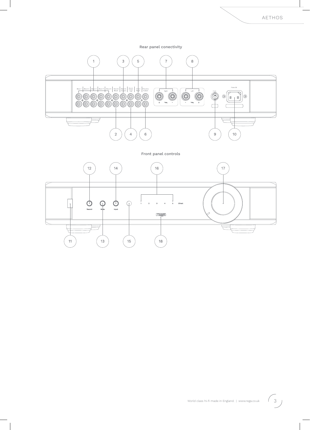Rear panel conectivity



Front panel controls

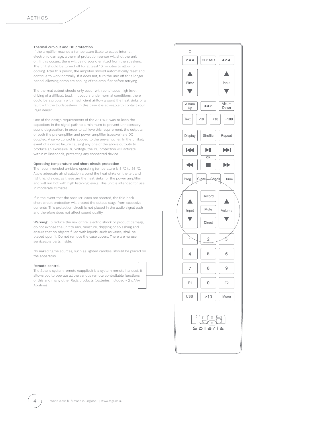#### Thermal cut-out and DC protection

If the amplifier reaches a temperature liable to cause internal electronic damage, a thermal protection sensor will shut the unit off. If this occurs, there will be no sound emitted from the speakers. The unit should be turned off for at least 10 minutes to allow for cooling. After this period, the amplifier should automatically reset and continue to work normally. If it does not, turn the unit off for a longer period, allowing complete cooling of the amplifier before retrying.

The thermal cutout should only occur with continuous high level driving of a difficult load. If it occurs under normal conditions, there could be a problem with insufficient airflow around the heat sinks or a fault with the loudspeakers. In this case it is advisable to contact your Rega dealer.

One of the design requirements of the AETHOS was to keep the capacitors in the signal path to a minimum to prevent unnecessary sound degradation. In order to achieve this requirement, the outputs of both the pre-amplifier and power amplifier (speaker) are DC coupled. A servo control is applied to the pre-amplifier. In the unlikely event of a circuit failure causing any one of the above outputs to produce an excessive DC voltage, the DC protection will activate within milliseconds, protecting any connected device.

#### Operating temperature and short circuit protection

The recommended ambient operating temperature is 5 °C to 35 °C. Allow adequate air circulation around the heat sinks on the left and right hand sides, as these are the heat sinks for the power amplifier and will run hot with high listening levels. This unit is intended for use in moderate climates.

If in the event that the speaker leads are shorted, the fold back short circuit protection will protect the output stage from excessive currents. This protection circuit is not placed in the audio signal path and therefore does not affect sound quality.

Warning: To reduce the risk of fire, electric shock or product damage, do not expose the unit to rain, moisture, dripping or splashing and ensure that no objects filled with liquids, such as vases, shall be placed upon it. Do not remove the case covers. There are no user serviceable parts inside.

No naked flame sources, such as lighted candles, should be placed on the apparatus.

#### Remote control

The Solaris system remote (supplied) is a system remote handset. It allows you to operate all the various remote controllable functions of this and many other Rega products (batteries included - 2 x AAA Alkaline).



4 World class hi-fi made in England. | www.rega.co.uk World class hi-fi made in England. | www.rega.co.uk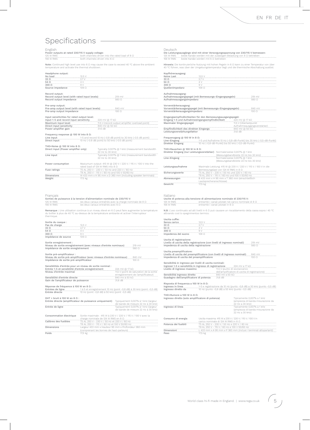# Specifications

English Power outputs at rated 230/115 V supply voltage:

125 W RMS both channels driven into the rated load of 8 Ω 156 W RMS both channels driven into 6 Ω

Note: Continued high level use into 6 Ω may cause the case to exceed 40 °C above the ambient temperature and activate the thermal shutdown.

#### leadphone output:

| .<br>______      |     |
|------------------|-----|
| No load<br>      | ヤノら |
| 22               | i.  |
| 54 C             |     |
| 300 O            |     |
| Source impedance |     |
|                  |     |

## Record output:

Record output level (with rated input levels) 219 mV<br>Record output impedance 360 Ω

## Pre-amp output: Pre-amp output level (with rated input levels) 840 mV Pre-amp output impedance 100 Ω

Input sensitivities for rated output level:

| Input 1-5 and record input sensitivity | 224 mV @ 17 kΩ                                  |
|----------------------------------------|-------------------------------------------------|
| Maximum input level                    | 11.5 V (record output amplifier overload point) |
| Direct input sensitivity               | 840 mV @ 50 kΩ                                  |
| Power amplifier gain                   | 31.6 dB                                         |
|                                        |                                                 |

#### Frequency response @ 100 W into 8 Ω: Line input 1-5 and record 10 Hz (-0.8 dB point) to 30 kHz (-0.5 dB point) Direct input 10 Hz (-0.8 dB point) to 50 kHz (-0.5 dB point)

THD+Noise @ 100 W into 8 Ω: Typically 0.007% @ 1 kHz (measurement bandwidth

|                   | 22 Hz to 30 kHz)                                                |
|-------------------|-----------------------------------------------------------------|
| Line input        | Typically 0.007% @ 1 kHz (measurement bandwidth                 |
|                   | 22 Hz to 30 kHz)                                                |
|                   |                                                                 |
| Power consumption | Maxiumum output: 415 W @ 230 V / 220 V / 115 V / 100 V into the |
|                   | rated load of 124 W RMS into 8 Ω                                |
| Fuse ratings      | T5 AL 250 V - 230 V / 50 Hz and 220 V / 60 Hz                   |
|                   | T8 AL 250 V - 115 V / 60 Hz and 100 V 50/60 Hz                  |
| Dimensions        | W 433 mm x H 95 mm x D 360 mm (including speaker terminals)     |
| Weight            | 175 ko                                                          |

#### Français

Sorties de puissance à la tension d'alimentation nominale de 230/115 V:<br>125 W RMS de deux canaux entraînés avec la charge nom<br>156 W RMS les deux canaux entraînés avec 6 O 125 W RMS les deux canaux entraînés avec la charge nominale de 8 Ω<br>156 W RMS les deux canaux entraînés avec 6 Ω

**Remarque :** Une utilisation continue à un niveau élevé en 6 Ω peut faire augmenter la température<br>du boîtier à plus de 40 °C au-dessus de la température ambiante et activer l'interrupteur<br>thermique.

#### Sortie du casque :

| Sortie du casque.   |  |
|---------------------|--|
| Pas de charge       |  |
| 32 <sup>C</sup>     |  |
| 54 $\Omega$         |  |
| 300 <sub>o</sub>    |  |
| Impédance de source |  |

#### Sortie enregistrement :

Niveau de sortie enregistrement (avec niveaux d'entrée nominaux) 219 mV Impédance de sortie enregistrement 560 Ω

#### Sortie pré-amplificateur :

Niveau de sortie pré-amplificateur (avec niveaux d'entrée nominaux) 840 mV Impédance de sortie pré-amplificateur 100 Ω

## Sensibilités d'entrée pour un niveau de sortie nominal :

Entrée 1-5 et sensibilité d'entrée enregistrement 224 mV @ 17 kΩ Niveau d'entrée maximal 11,5 V (point de saturation de la sortie 224 mV @ 17 k0<br>11,5 V (point de saturation de la sortie<br>enregistrement de l'amplificateur)<br>840 mV à 50 k0<br>31,6 dB Sensibilité d'entrée directe 840 mV à 50 kΩ Gain de l'amplificateur de puissance 31,6 dB Réponse de fréquence à 100 W en 8 Ω : Entrées de ligne 11 au languairement 10 Hz (point -0,8 dB) à 30 kHz (point -0,5 dB)<br>10 Hz (point -0,8 dB) à 50 kHz (point -0,5 dB) a 50 kHz (point -0,5 dB) DHT + bruit à 100 W en 8 Ω : Entrée directe (amplificateur de puissance uniquement) Typiquement 0,007% à 1 kHz (largeur de bande de mesure 22 Hz à 30 kHz)<br>Typiquement 0,007% à 1 kHz (largeur<br>de bande de mesure 22 Hz à 30 kHz) Consommation électrique Sortie maximale : 415 W à 230 V / 220 V / 115 V / 100 V avec la charge nominale de 124 W RMS en 8 Ω<br>Calibres des fusibles T5 AL 250 V - 230 V / 50 Hz et 220 V / 60 Hz<br>T6 AL 250 V - 115 V / 60 Hz et 100 V 50/60 Hz<br>Dimensions Largeur 433 mm x Hauteur 95 mm x Profondeur 360 mm (comprenant les bornes de haut-parleurs) Poids 17,5 kg

Deutsch Die Leistungsausgänge sind mit einer Versorgungsspannung von 230/115 V bemessen: 125 W RMS beide Kanäle werden mit der zulässigen Belastung von 8 Ω betrieben<br>156 W RMS beide Kanäle werden mit 6 Ω betrieben

H**inweis:** Die kontinuierliche Nutzung mit hohen Pegeln in 6 Ω kann zu einer Temperatur von über<br>40 °C führen, was über der Umgebungstemperatur liegt und die thermische Abschaltung auslöst.

#### Kopfhörerausgang:

| Keine Last       |       |
|------------------|-------|
| $32\Omega$       |       |
| 54 O             |       |
| $300 \Omega$     |       |
| Quellenimpedanz  | 109 C |
|                  |       |
| Aufnahmeausgang: |       |

## Aufnahmeausgangspegel (mit Bemessungs-Eingangspegeln) 219 mV Aufnahmeausgangsimpedanz 560 Ω

| Vorverstärkerausgang:<br>Vorverstärkerausgangspegel (mit Bemessungs-Eingangspegeln)<br>Vorverstärkerausgangsimpedanz | $840$ mV<br>ה ההו                                    |
|----------------------------------------------------------------------------------------------------------------------|------------------------------------------------------|
| Eingangsempfindlichkeiten für den Bemessungsausgangspegel:<br>Eingang 1-5 und Aufnahmeeingangsempfindlichkeit        | 224 mV @ 17 kΩ                                       |
| Maximaler Eingangspegel                                                                                              | 11.5 V (Überlastpunkt<br>Aufnahmeausgangsverstärker) |
| Empfindlichkeit des direkten Eingangs<br>Leistungsverstärkungsfaktor                                                 | 840 mV @ 50 kΩ<br>31.6 dB                            |

#### Frequenzgang @ 100 W in 8 Ω:

Line-Eingang 1-5 und Aufnahme 10 Hz (-0,8-dB-Punkt) bis 30 kHz (-0,5-dB-Punkt) Direkter Eingang 10 Hz (-0,8-dB-Punkt) bis 50 kHz (-0,5-dB-Punkt)

#### THD+Rauschen @ 100 W in 8 Ω:

|                   | Direkter Eingang (nur Leistungsverstärker) Normalerweise 0,007% @ 1 kHz                         |
|-------------------|-------------------------------------------------------------------------------------------------|
|                   | (Messungsbandbreite 22 Hz bis 30 kHz)                                                           |
| Line-Eingang      | Normalerweise 0,007% @ 1 kHz                                                                    |
|                   | (Messungsbandbreite 22 Hz bis 30 kHz)                                                           |
| Leistungsaufnahme | Maximale Leistung: 415 W @ 230 V / 220 V / 115 V / 100 V in die                                 |
|                   | Bemessungslast von 124 W RMS in 8 $\Omega$                                                      |
| Sicherungswerte   | T5 AL 250 V - 230 V / 50 Hz und 220 V / 60 Hz<br>T8 AL 250 V - 115 V / 60 Hz und 100 V 50/60 Hz |
| Ahmoreungan       | D 422 mm v U Q5 mm v T 260 mm (oincebließlich                                                   |

| Abmessungen | B 433 mm x H 95 mm x T 360 mm (einschließlich |
|-------------|-----------------------------------------------|
|             | Lautsprecheranschlüsse)                       |
| Gewicht     | 17.5 kg                                       |
|             |                                               |

#### Italiano

Uscite di potenza alla tensione di alimentazione nominale di 230/115 V: 125 W RMS entrambi i canali pilotati nel carico nominale di 8 Ω 156 W RMS entrambi i canali pilotati in 6 Ω

N.B: L'uso continuato ad alti livelli in 6 Ω può causare un riscaldamento della cassa sopra i 40 °C attivando così lo spegnimentoo termico.

#### Uscita cuffie:

| Senza carico        | フト               |
|---------------------|------------------|
| 32 <sub>C</sub>     |                  |
| 54 $\Omega$         |                  |
| 300 O               |                  |
| Impedenza del suono | 109 <sub>0</sub> |

#### Uscita di registrazione:

| Livello di uscita della registrazione (con livelli di ingresso nominali) | 219 mV  |
|--------------------------------------------------------------------------|---------|
|                                                                          |         |
| Impedenza di uscita della registrazione                                  | - 560 G |

#### Uscita preamplificatore:

Livello di uscita del preamplificatore (con livelli di ingresso nominali) 840 mV Impedenza di uscita del preamplificatore 100 Ω

## Sensibilità in ingresso per livelli di uscita nominali: Ingressi 1-5 e sensibilità in ingresso di registrazione 224 mV a 17 kΩ

| ingressi i-5 e sensibilità in ingresso di registrazione | 224 MW a 17 KW                                 |
|---------------------------------------------------------|------------------------------------------------|
| Livello di ingresso massimo                             | 11.5 V (punto di sovraccarico                  |
|                                                         | dell'amplificatore di uscita di registrazione) |
| Sensibilità ingresso diretto                            | 840 mV a 50 kO                                 |
| Guadagno dell'amplificatore di potenza                  | 31.6 dB                                        |

## Risposta di frequenza a 100 W in 8 Ω:

Ingresso in linea 1-5 e registrazione da 10 Hz (punto -0,8 dB) a 30 kHz (punto -0,5 dB) Ingresso diretto da 10 Hz (punto -0,8 dB) a 50 kHz (punto -0,5 dB)

## THD+Rumore a 100 W in 8 Ω:

| Ingresso diretto (solo amplificatore di potenza) |                                               | Tipicamente 0,007% a 1 kHz                                 |
|--------------------------------------------------|-----------------------------------------------|------------------------------------------------------------|
|                                                  |                                               | (ampiezza di banda misurazione da                          |
|                                                  |                                               | 22 Hz a 30 kHz)                                            |
| Ingresso di linea                                |                                               | Tipicamente 0,007% a 1 kHz                                 |
|                                                  |                                               | (ampiezza di banda misurazione da                          |
|                                                  |                                               | 22 Hz a 30 kHz)                                            |
|                                                  |                                               |                                                            |
| Consumo di energia                               |                                               | Uscita massima: 415 W a 230 V / 220 V / 115 V / 100 V in   |
|                                                  | carico nominale di 124 W RMS in 8 Ω           |                                                            |
| Potenza dei fusibili                             | T5 AI  250 V - 230 V / 50 Hz e 220 V / 60 Hz  |                                                            |
|                                                  | F8 AI  250 V - 115 V / 60 Hz e 100 V 50/60 Hz |                                                            |
|                                                  |                                               | L 433 mm x A 95 mm x P 360 mm (inclusi i terminali altopar |
| Peso                                             |                                               |                                                            |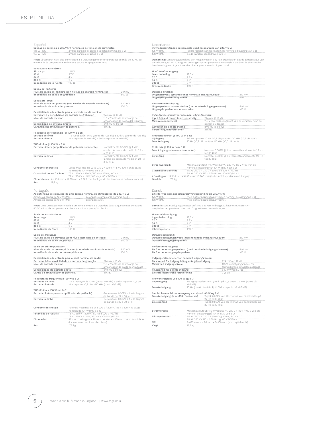| Español<br>125 W RMS<br><b>156 W RMS</b>                                                                                                                                 | Salidas de potencia a 230/115 V nominales de tensión de suministro:<br>ambos canales dirigidos a la carga nominal de 8 0<br>ambos canales dirigidos a 6 Ω |                                                                                                     | Nederlands<br>Vermogensuitgangen bij nominale voedingsspanning van 230/115 V:<br>125 W RMS<br><b>156 W RMS</b>                                                                                                                                                               |                                                                                                                                          | beide kanalen aangedreven in de nominale belasting van 8 0<br>beide kanalen aangedreven in 6 Q                      |                                 |
|--------------------------------------------------------------------------------------------------------------------------------------------------------------------------|-----------------------------------------------------------------------------------------------------------------------------------------------------------|-----------------------------------------------------------------------------------------------------|------------------------------------------------------------------------------------------------------------------------------------------------------------------------------------------------------------------------------------------------------------------------------|------------------------------------------------------------------------------------------------------------------------------------------|---------------------------------------------------------------------------------------------------------------------|---------------------------------|
|                                                                                                                                                                          | encima de la temperatura ambiente y activar el apagado térmico.                                                                                           | Nota: El uso a un nivel alto continuado a 6 $\Omega$ puede generar temperaturas de más de 40 °C por | Opmerking: Langdurig gebruik op een hoog niveau in 6 $\Omega$ kan ertoe leiden dat de temperatuur van<br>de behuizing tot 40 °C stijgt en de omgevingstemperatuur overschrijdt, waardoor de thermische<br>bescherming wordt geactiveerd en het apparaat wordt uitgeschakeld. |                                                                                                                                          |                                                                                                                     |                                 |
| Salida para auriculares:<br>Sin carga<br>$32\Omega$                                                                                                                      | 12,5 V<br>2.7V                                                                                                                                            |                                                                                                     | Hoofdtelefoonuitgang:<br>Geen belasting                                                                                                                                                                                                                                      | 12,5 V                                                                                                                                   |                                                                                                                     |                                 |
| 54 Ω                                                                                                                                                                     | 4 V                                                                                                                                                       |                                                                                                     | $32\Omega$                                                                                                                                                                                                                                                                   | 2.7V                                                                                                                                     |                                                                                                                     |                                 |
| 300Ω                                                                                                                                                                     | 9 V                                                                                                                                                       |                                                                                                     | $54\Omega$                                                                                                                                                                                                                                                                   | 4V                                                                                                                                       |                                                                                                                     |                                 |
| Impedancia de la fuente                                                                                                                                                  | 109 <sub>0</sub>                                                                                                                                          |                                                                                                     | 300 Ω                                                                                                                                                                                                                                                                        | 9V                                                                                                                                       |                                                                                                                     |                                 |
|                                                                                                                                                                          |                                                                                                                                                           |                                                                                                     | Bronimpedantie                                                                                                                                                                                                                                                               | 109 Ω                                                                                                                                    |                                                                                                                     |                                 |
| Salida del registro:<br>Impedancia de salida de grabación                                                                                                                | Nivel de salida del registro (con niveles de entrada nominales)                                                                                           | 219 mV<br>560 Ω                                                                                     | Opname-uitgang:<br>Uitgangsniveau opnames (met nominale ingangsniveaus)<br>Uitgangsimpedantie opnames                                                                                                                                                                        |                                                                                                                                          |                                                                                                                     | 219 mV<br>560 Ω                 |
| Salida pre-amp:<br>Impedancia de salida del pre-amp                                                                                                                      | Nivel de salida del pre-amp (con niveles de entrada nominales)                                                                                            | 840 mV<br>100 Ω                                                                                     | Voorversterkeruitgang:<br>Uitgangsniveau voorversterker (met nominale ingangsniveaus)                                                                                                                                                                                        |                                                                                                                                          |                                                                                                                     | 840 mV<br>100 Ω                 |
|                                                                                                                                                                          |                                                                                                                                                           |                                                                                                     | Uitgangsimpedantie voorversterker                                                                                                                                                                                                                                            |                                                                                                                                          |                                                                                                                     |                                 |
| Entrada 1-5 y sensibilidad de entrada de grabación                                                                                                                       | Sensibilidades de entrada para el nivel de salida nominal:                                                                                                | 224 mV @ 17 kΩ                                                                                      | Inganggevoeligheid voor nominaal uitgangsniveau:                                                                                                                                                                                                                             |                                                                                                                                          |                                                                                                                     |                                 |
| Nivel de entrada máximo                                                                                                                                                  |                                                                                                                                                           | 11,5 V (punto de sobrecarga del                                                                     | Input 1-5 and record input sensitivity                                                                                                                                                                                                                                       |                                                                                                                                          | 224 mV @ 17 kΩ                                                                                                      |                                 |
|                                                                                                                                                                          |                                                                                                                                                           | amplificador de salida del registro)                                                                | Maximum input level                                                                                                                                                                                                                                                          |                                                                                                                                          | 11,5 V (overbelastingspunt van de versterker van de                                                                 |                                 |
| Sensibilidad de entrada directa                                                                                                                                          |                                                                                                                                                           | 840 mV @ 50 kΩ                                                                                      |                                                                                                                                                                                                                                                                              |                                                                                                                                          | opname-uitgang)                                                                                                     |                                 |
| Ganancia del amplificador de potencia                                                                                                                                    |                                                                                                                                                           | 31,6 dB                                                                                             |                                                                                                                                                                                                                                                                              |                                                                                                                                          |                                                                                                                     |                                 |
|                                                                                                                                                                          |                                                                                                                                                           |                                                                                                     | Gevoeligheid directe ingang<br>Versterking eindversterker                                                                                                                                                                                                                    |                                                                                                                                          | 840 mV @ 50 kΩ<br>31,6 dB                                                                                           |                                 |
|                                                                                                                                                                          |                                                                                                                                                           |                                                                                                     |                                                                                                                                                                                                                                                                              |                                                                                                                                          |                                                                                                                     |                                 |
| Respuesta de frecuencia @ 100 W a 8 Ω:<br>Entrada de línea<br>Entrada directa                                                                                            | 10 Hz (punto de -0,8 dB) a 50 kHz (punto de -0,5 dB)                                                                                                      | 1-5 y grabación 10 Hz (punto de -0,8 dB) a 30 kHz (punto de -0,5 dB)                                | Frequentiebereik @ 100 W in 8 Ω:<br>Lijningang<br>Directe ingang                                                                                                                                                                                                             |                                                                                                                                          | 1-5 en opname 10 Hz (-0,8 dB punt) tot 30 kHz (-0,5 dB punt)<br>10 Hz (-0,8 dB punt) tot 50 kHz (-0,5 dB punt)      |                                 |
| THD+Ruido @ 100 W a 8 Ω:                                                                                                                                                 |                                                                                                                                                           |                                                                                                     |                                                                                                                                                                                                                                                                              |                                                                                                                                          |                                                                                                                     |                                 |
| Entrada directa (amplificador de potencia solamente)                                                                                                                     |                                                                                                                                                           | Normalmente 0,007% @ 1 kHz<br>(ancho de banda de medición 22 Hz                                     | THD+ruis @ 100 W naar 8 Ω:<br>Direct ingang (alleen eindversterker)                                                                                                                                                                                                          |                                                                                                                                          | Normaal 0,007% @ 1 kHz (meetbrandbreedte 22 Hz                                                                      |                                 |
|                                                                                                                                                                          |                                                                                                                                                           | a 30 kHz)                                                                                           |                                                                                                                                                                                                                                                                              |                                                                                                                                          | tot 30 kHz)                                                                                                         |                                 |
| Entrada de línea                                                                                                                                                         |                                                                                                                                                           | Normalmente 0,007% @ 1 kHz<br>(ancho de banda de medición 22 Hz<br>a 30 kHz)                        | Lijningang                                                                                                                                                                                                                                                                   |                                                                                                                                          | Normaal 0,007% @ 1 kHz (meetbrandbreedte 22 Hz<br>tot 30 kHz)                                                       |                                 |
|                                                                                                                                                                          |                                                                                                                                                           |                                                                                                     | Stroomverbruik                                                                                                                                                                                                                                                               |                                                                                                                                          | Maximale uitgang: 415 W @ 230 V / 220 V / 115 V / 100 V in de                                                       |                                 |
| Consumo energético                                                                                                                                                       |                                                                                                                                                           | Salida máxima: 415 W @ 230 V / 220 V / 115 V / 100 V en la carga                                    |                                                                                                                                                                                                                                                                              |                                                                                                                                          | nominale belasting van 124 W RMS naar 8 Q                                                                           |                                 |
|                                                                                                                                                                          | nominal de 124 W RMS en 8 Ω                                                                                                                               |                                                                                                     | Classificatie zekering                                                                                                                                                                                                                                                       |                                                                                                                                          | T5 AL 250 V - 230 V / 50 Hz en 220 V / 60 Hz                                                                        |                                 |
| Capacidad de los fusibles                                                                                                                                                | T5 AL 250 V - 230 V / 50 Hz y 220 V / 60 Hz                                                                                                               |                                                                                                     | Afmetingen                                                                                                                                                                                                                                                                   |                                                                                                                                          | T8 AL 250 V - 115 V / 60 Hz en 100 V 50/60 Hz<br>B 433 mm x H 95 mm x D 360 mm (inclusief luidsprekeraansluitingen) |                                 |
| Dimensiones                                                                                                                                                              | T8 AL 250 V - 115 V / 60 Hz y 100 V 50/60 Hz                                                                                                              |                                                                                                     | Gewicht                                                                                                                                                                                                                                                                      |                                                                                                                                          |                                                                                                                     |                                 |
| 17,5 kg<br>Peso                                                                                                                                                          |                                                                                                                                                           | An 433 mm x Al 95 mm x F 360 mm (incluyendo las terminales de los altavoces)                        | 17,5 kg                                                                                                                                                                                                                                                                      |                                                                                                                                          |                                                                                                                     |                                 |
| Português<br>Ambos os canais de 125 W RMS<br>Ambos os canais de 156 W RMS                                                                                                | As potências de saída são de uma tensão nominal de alimentação de 230/115 V:<br>acionados a 6 Ω                                                           | acionados a uma carga nominal de 8 0                                                                | Dansk<br>Effekter ved nominel strømforsyningsspænding på 230/115 V:<br>125 W RMS<br>156 W RMS                                                                                                                                                                                |                                                                                                                                          | med drift af begge kanaler ved en nominel belastning på 8 Q<br>med drift af begge kanaler ved 6 $\Omega$            |                                 |
|                                                                                                                                                                          | 40 °C acima da temperatura ambiente e ativar a proteção térmica.                                                                                          | Nota: Uma utilização continuada a um nível elevado a 6 Q poderá levar a que a caixa exceda os       | Bemærk: Kontinuerlig højtbelastet drift ved 6 0 kan forårsage, at kabinettet overstiger<br>omgivelsestemperaturen med 40 °C og aktiverer termosikringen.                                                                                                                     |                                                                                                                                          |                                                                                                                     |                                 |
| Saída de auscultadores:                                                                                                                                                  |                                                                                                                                                           |                                                                                                     | Hovedtelefonudgang:                                                                                                                                                                                                                                                          |                                                                                                                                          |                                                                                                                     |                                 |
| Sem carga                                                                                                                                                                | 12,5 V                                                                                                                                                    |                                                                                                     | Ingen belastning                                                                                                                                                                                                                                                             | 12,5 V                                                                                                                                   |                                                                                                                     |                                 |
| $32\Omega$                                                                                                                                                               | $2,7$ V                                                                                                                                                   |                                                                                                     | $32\Omega$                                                                                                                                                                                                                                                                   | $2,7$ V                                                                                                                                  |                                                                                                                     |                                 |
| 54 $\Omega$                                                                                                                                                              | 4 V                                                                                                                                                       |                                                                                                     | $54\Omega$                                                                                                                                                                                                                                                                   | 4V                                                                                                                                       |                                                                                                                     |                                 |
| 300 Ω                                                                                                                                                                    | 9V                                                                                                                                                        |                                                                                                     | 300 Ω                                                                                                                                                                                                                                                                        | 9 V                                                                                                                                      |                                                                                                                     |                                 |
| Impedância da fonte                                                                                                                                                      | 109 <sub>0</sub>                                                                                                                                          |                                                                                                     | Kildeimpedans                                                                                                                                                                                                                                                                | 109 Ω                                                                                                                                    |                                                                                                                     |                                 |
|                                                                                                                                                                          |                                                                                                                                                           |                                                                                                     |                                                                                                                                                                                                                                                                              |                                                                                                                                          |                                                                                                                     |                                 |
| Saída de gravação:<br>Impedância de saída de gravação                                                                                                                    | Nível de saída de gravação (com níveis nominais de entrada)                                                                                               | 219 mV<br>560 Ω                                                                                     | Optagelsesudgang:<br>Optagelsesudgangsniveau (med nominelle indgangsniveauer)<br>Optagelsesudgangsimpedans                                                                                                                                                                   |                                                                                                                                          |                                                                                                                     | 219 mV<br>560 Ω                 |
|                                                                                                                                                                          |                                                                                                                                                           |                                                                                                     |                                                                                                                                                                                                                                                                              |                                                                                                                                          |                                                                                                                     |                                 |
| Saída de pré-amplificador:<br>Impedância de saída do pré-amplificador                                                                                                    | Nível de saída do pré-amplificador (com níveis nominais de entrada)                                                                                       | 840 mV<br>$100\Omega$                                                                               | Forforstærkerudgang:<br>Forforstærkerudgangsniveau (med nominelle indgangsniveauer)<br>Forforstærkerudgangsimpedans                                                                                                                                                          |                                                                                                                                          |                                                                                                                     | 840 mV<br>$100 \Omega$          |
|                                                                                                                                                                          | Sensibilidades de entrada para o nível nominal de saída:                                                                                                  |                                                                                                     | Indgangsfølsomheder for nominelt udgangsniveau:                                                                                                                                                                                                                              |                                                                                                                                          |                                                                                                                     |                                 |
|                                                                                                                                                                          |                                                                                                                                                           |                                                                                                     |                                                                                                                                                                                                                                                                              |                                                                                                                                          |                                                                                                                     |                                 |
| Entradas 1-5 e sensibilidade de entrada de gravação<br>Nível de entrada máximo                                                                                           |                                                                                                                                                           | 224 mV a 17 kΩ<br>11,5 V (ponto de sobrecarga do                                                    | Følsomhed for indgang 1-5 og optagelsesindgang<br>Maksimalt indgangsniveau                                                                                                                                                                                                   |                                                                                                                                          | 224 mV ved 17 kΩ                                                                                                    | 11,5 V (overstyringsniveau for  |
|                                                                                                                                                                          |                                                                                                                                                           | amplificador de saída de gravação)                                                                  |                                                                                                                                                                                                                                                                              |                                                                                                                                          |                                                                                                                     | forstærkerens optagelsesudgang) |
| Sensibilidade de entrada direta                                                                                                                                          |                                                                                                                                                           | 840 mV a 50 kΩ                                                                                      | Følsomhed for direkte indgang                                                                                                                                                                                                                                                |                                                                                                                                          | 840 mV ved 50 kQ                                                                                                    |                                 |
| Ganho do amplificador de potência                                                                                                                                        |                                                                                                                                                           | 31,6 dB                                                                                             | Effektforstærkerens forstærkning                                                                                                                                                                                                                                             |                                                                                                                                          | 31,6 dB                                                                                                             |                                 |
| Resposta de frequência a 100 W a 8 Ω:                                                                                                                                    |                                                                                                                                                           |                                                                                                     | Frekvensrespons ved 100 W og 8 Ω:                                                                                                                                                                                                                                            |                                                                                                                                          |                                                                                                                     |                                 |
| Entradas de linha<br>Entrada direta de                                                                                                                                   | 10 Hz (ponto -0,8 dB) a 50 kHz (ponto -0,5 dB)                                                                                                            | 1-5 e gravação de 10 Hz (ponto -0,8 dB) a 30 kHz (ponto -0,5 dB)                                    | Linjeindgang                                                                                                                                                                                                                                                                 | $-0,5$ dB)                                                                                                                               | 1-5 og optagelse 10 Hz (punkt på -0,8 dB) til 30 kHz (punkt på                                                      |                                 |
|                                                                                                                                                                          |                                                                                                                                                           |                                                                                                     | Direkte indgang                                                                                                                                                                                                                                                              |                                                                                                                                          | 10 Hz (punkt på -0,8 dB) til 50 kHz (punkt på -0,5 dB)                                                              |                                 |
| THD+Ruído a 100 W em 8 Ω:<br>Entrada direta (apenas amplificador de potência)                                                                                            |                                                                                                                                                           | Geralmente, 0,007% a 1 kHz (largura<br>de banda de 22 a 30 kHz)                                     | Samlet harmonisk forvrængning + støj ved 100 W og 8 Ω:<br>Direkte indgang (kun effektforstærker)                                                                                                                                                                             |                                                                                                                                          | Typisk 0,007% ved 1 kHz (målt ved båndbredde på                                                                     |                                 |
| Entrada de linha                                                                                                                                                         |                                                                                                                                                           | Geralmente, 0,007% a 1 kHz (largura<br>de banda de 22 a 30 kHz)                                     | Linjeindgang                                                                                                                                                                                                                                                                 |                                                                                                                                          | 22 Hz til 30 kHz)<br>Typisk 0,007% ved 1 kHz (målt ved båndbredde på                                                |                                 |
|                                                                                                                                                                          |                                                                                                                                                           |                                                                                                     |                                                                                                                                                                                                                                                                              |                                                                                                                                          | 22 Hz til 30 kHz)                                                                                                   |                                 |
| Consumo de energia                                                                                                                                                       |                                                                                                                                                           | Potência máxima: 415 W a 230 V / 220 V / 115 V / 100 V na carga                                     |                                                                                                                                                                                                                                                                              |                                                                                                                                          |                                                                                                                     |                                 |
| Potências de fusíveis                                                                                                                                                    | nominal de 124 W RMS a 8 Ω                                                                                                                                |                                                                                                     | Strømforbrug                                                                                                                                                                                                                                                                 |                                                                                                                                          | Maksimalt output: 415 W ved 230 V / 220 V / 115 V / 100 V ved en                                                    |                                 |
| T5 AL 250 V - 230 V / 50 Hz e 220 V / 60 Hz<br>T8 AL 250 V - 115 V / 60 Hz e 100 V 50/60 Hz<br>Dimensões<br>433 mm de largura x 95 mm de altura x 360 mm de profundidade |                                                                                                                                                           | Sikringsværdier                                                                                     |                                                                                                                                                                                                                                                                              | nominel belastning på 124 W RMS ved 8 Ω<br>T5 AL 250 V - 230 V / 50 Hz og 220 V / 60 Hz<br>T8 AL 250 V - 115 V / 60 Hz og 100 V 50/60 Hz |                                                                                                                     |                                 |
|                                                                                                                                                                          | (incluindo os terminais da coluna)                                                                                                                        |                                                                                                     | Mål                                                                                                                                                                                                                                                                          |                                                                                                                                          | B 433 mm x H 95 mm x D 360 mm (inkl. højttalerstik)                                                                 |                                 |
| Peso                                                                                                                                                                     | 17,5 kg                                                                                                                                                   |                                                                                                     | Vægt                                                                                                                                                                                                                                                                         | 17,5 kg                                                                                                                                  |                                                                                                                     |                                 |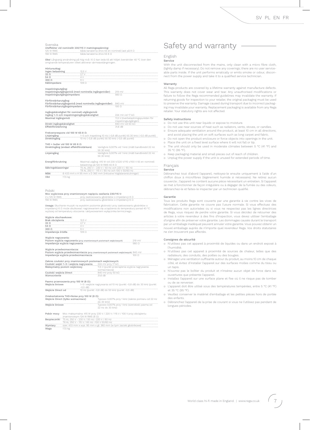#### Svenska

Uteffekter vid nominellt 230/115 V matningsspänning: nominell last på 8 Ω 125 W RMS<br>156 W RMS

Obs! Långvarig användning på hög nivå i 6 Ω kan leda till att höljet överskrider 40 °C över den omgivande temperaturen vilket aktiverar värmeavstängningen.

#### Hörlursuttag:

| Ingen belastning | 7 h |
|------------------|-----|
| $32\Omega$       | ı   |
| 54 $\Omega$      |     |
| $300 \Omega$     |     |
| Källimpedans     |     |
|                  |     |

Inspelningsutgång:<br>Inspelningsutgångsnivå (med nominella ingångsnivåer) \_\_\_ 219 mV<br>Inspelningsutgångsimpedans

#### Förförstärkarutgång:

| Forforstarkarutgang:                                          |                  |
|---------------------------------------------------------------|------------------|
| Förförstärkarutgångsnivå (med nominella ingångsnivåer) 840 mV |                  |
| Förförstärkarutgångsimpedans                                  | 100 <sub>c</sub> |

| Ingångskänslighet för nominell utgångsnivå:<br>Ingång 1-5 och inspelningsingångskänslighet | 224 mV vid 17 kΩ                   |
|--------------------------------------------------------------------------------------------|------------------------------------|
| Maximal ingångsnivå                                                                        | 11.5 V (överbelastningspunkten för |
|                                                                                            | inspelningsutgången)               |
| Direkt ingångskänslighet                                                                   | 840 mV vid 50 kO                   |
| Effektförstärkning                                                                         | 31.6 dB                            |

Frekvensrespons vid 100 W till 8 Ω:<br>Linjeingång 1-5 00<br>Direktingång 10 Hz Linjeingång 1–5 och inspelning 10 Hz (-0,8 dB punkt) till 30 kHz (-0,5 dB punkt)<br>10 Hz (-0,8 dB punkt) till 50 kHz (-0,5 dB punkt) till 50 kHz (-0,5 dB punkt)

#### THD + buller vid 100 W till 8 Ω:

| Direktingång (endast effektförstärkare) | Vanligtvis 0,007% vid 1 kHz (mätt bandbredd 22 Hz<br>till 30 kHz)  |
|-----------------------------------------|--------------------------------------------------------------------|
| Linjeingång                             | Vanligtvis 0.007% vid 1 kHz (mätt bandbredd 22 Hz<br>till 30 kHz)  |
| Energiförbrukning                       | Maximal utgång: 415 W vid 230 V/220 V/115 v/100 V till en nominell |

ng på 124 W RMS till 8 Ω Säkringsklassningar T8 AL 250 V - 115 V / 60 Hz och 100 V 50/60 Hz **Mätt** B 433 mm x H 95 mm x D 360 mm (inklusive högtalaranslutningar) **Vikt** 17,5 kg

#### Polski

wecznie<br>Moc wyjściowa przy znamionowym napięciu zasilania 230/115 V:<br>2 x 125 W RMS – przy zastosowaniu głośników o impe 2 x 125 W RMS przy zastosowaniu głośników o impedancji 8 Ω 156 W RMS przy zastosowaniu głośników o impedancji 6 Ω

Uwaga: Słuchanie muzyki na wysokim poziomie głośności przy zastosowaniu głośnikó impedancji 6 Ω może skutkować nagrzewaniem się urządzenia do temperatury ponad 40 °C wyższej od temperatury otoczenia i aktywowaniem wyłącznika termicznego.

#### Wyjście słuchawkowe:

| --<br>obciażenia  |  |
|-------------------|--|
|                   |  |
| 5A                |  |
|                   |  |
| Impedancia źródła |  |

## Wyjście nagrywania:

Poziom wyjścia nagrywania (przy znamionowych poziomach wejściowych) 219 mV Impedancja wyjścia nagrywania 560 Ω

#### Wyjście przedwzmacniacza:

i<mark>iacza</mark> (przy znamionowych poziomach wejści<br>pochlocza Poziom wyjścia przedwzmacnia<br>Impedancja wyjścia przedwzma

Zakres czułości przy znamionowych poziomach wejściowych: Czułość wejść 1–5 i wejścia nagrywania 224 mV przy 17 kΩ

| <u>Ozutoso wojso i s i wojsola naglywania</u> |                                             |
|-----------------------------------------------|---------------------------------------------|
|                                               |                                             |
| Maksymalny poziom wejściowy                   | 11,5 V (punkt przeciążenia wyjścia nagrywan |

|                        | wzmacniacza)      |
|------------------------|-------------------|
| Czułość weiścia Direct | 840 mV przy 50 kΩ |
| Wzmocnienie            | 31.6 dB           |

Pasmo przenoszenia przy 100 W (8 Ω):

| Wejścia liniowe   | 1-5 i wejście nagrywania od 10 Hz (punkt -0,8 dB) do 30 kHz (punkt |
|-------------------|--------------------------------------------------------------------|
|                   | $-0.5$ dB)                                                         |
| Wejście Direct od | 10 Hz (punkt -0,8 dB) do 50 kHz (punkt -0,5 dB)                    |

#### Zniekształcenia THD+Noise przy 100 W (8 Ω):

| Weiście Direct (tylko wzmacniacz) | Typowo 0.007% przy 1 kHz (zakres pomiaru od 22 Hz<br>do 30 kHz)  |
|-----------------------------------|------------------------------------------------------------------|
| Weiście liniowe                   | Typowo 0.007% przy 1 kHz (szerokość pasma od<br>22 Hz do 30 kHz) |

| Pobór mocy Moc maksymalna: 415 W przy 230 V / 220 V / 115 V / 100 V przy obciążeniu |
|-------------------------------------------------------------------------------------|
| znamionowym 124 W RMS $(8 \Omega)$                                                  |
| Bezpieczniki T5 AL 250 V - 230 V / 50 Hz i 220 V / 60 Hz                            |

T8 AL 250 V - 115 V / 60 Hz i 100 V Wymiary Waga 175 kg

## Safety and warranty

## English

Service

With the unit disconnected from the mains, only clean with a micro fibre cloth, (lightly damp if necessary). Do not remove any coverings; there are no user serviceable parts inside. If the unit performs erratically or emits smoke or odour, disconnect from the power supply and take it to a qualified service technician.

#### Warranty

All Rega products are covered by a lifetime warranty against manufacture defects. This warranty does not cover wear and tear. Any unauthorised modifications or failure to follow the Rega recommended guidelines may invalidate the warranty. If returning goods for inspection to your retailer, the original packaging must be used to preserve the warranty. Damage caused during transport due to incorrect packaging may invalidate your warranty. Replacement packaging is available from any Rega retailer. Your statutory rights are not affected.

#### Safety instructions

o Do not use this unit near liquids or expose to moisture.

- Do not use near sources of heat such as radiators, vents, stoves, or candles. o Bombe add near boarded on hear dark as radiately, senter, etc. etc., or danately o Ensure adequate ventilation around the product, at least 10 cm in all directions,
- and avoid placing the unit on soft surfaces such as long carpet and fabric.
- Do not open the product enclosure or force objects into openings in the unit<br>○ Place the unit on a fixed level surface where it will not fall or tip.
- o The unit should only be used in moderate climates between 5 °C (41 °F) and 35 °C (95 °F).
- Keep packaging material and small pieces out of reach of children.
- o Unplug the power supply if the unit is unused for extended periods of time.

Français

#### Service

Débranchez tout d'abord l'appareil, nettoyez-le ensuite uniquement à l'aide d'un chiffon doux à microfibres (légèrement humide si nécessaire). Ne retirez aucun couvercle ; l'appareil ne contient aucune pièce nécessitant un entretien. Si l'appareil se met à fonctionner de façon irrégulière ou à dégager de la fumée ou des odeurs, débranchez-le et faites-le inspecter par un technicien qualifié.

#### Garantie

Tous les produits Rega sont couverts par une garantie à vie contre les vices de fabrication. Cette garantie ne couvre pas l'usure normale. Si vous effectuez des modifications non autorisées ou si vous ne respectez pas les lignes directrices de Rega, vous risquez de perdre votre garantie. Si vous décidez de retourner des articles à votre revendeur à des fins d'inspection, vous devez utiliser l'emballage d'origine afin de préserver votre garantie. Les dommages causés durant le transport par un emballage inadéquat peuvent annuler votre garantie. Vous pouvez obtenir un nouvel emballage auprès de n'importe quel revendeur Rega. Vos droits statutaires ne s'en trouveront pas affectés.

#### Consignes de sécurité

- N'utilisez pas cet appareil à proximité de liquides ou dans un endroit exposé à l'humidité.
- N'utilisez pas cet appareil à proximité de sources de chaleur, telles que des radiateurs, des conduits, des poêles ou des bougies.
- Ménagez une ventilation suffisante autour du produit, au moins 10 cm de chaque côté, et évitez d'installer l'appareil sur des surfaces molles comme du tissu ou un tapis.
- N'ouvrez pas le boîtier du produit et n'insérez aucun objet de force dans les ouvertures que présente l'appareil.
- Installez l'appareil sur une surface plane et fixe où il ne risque pas de tomber ou de se renverser.
- L'appareil doit être utilisé sous des températures tempérées, entre 5 °C (41 °F) et 35 °C (95 °F).
- Veuillez conserver le matériel d'emballage et les petites pièces hors de portée des enfants.
- Débranchez l'appareil de la prise de courant si vous ne l'utilisez pas pendant de longues périodes.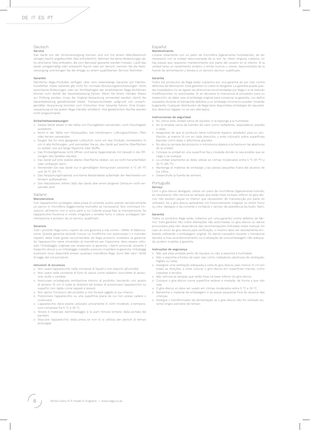## Deutsch

#### Service

Das Gerät von der Stromversorgung trennen und nur mit einem Mikrofasertuch reinigen (leicht angefeuchtet, falls erforderlich). Nehmen Sie keine Abdeckungen ab. Es sind keine Teile enthalten, die vom Benutzer gewartet werden müssen. Läuft das Gerät unregelmäßig oder entweicht Rauch oder ein Geruch, trennen Sie die Netzversorgung und bringen Sie die Anlage zu einem qualifizierten Service-Techniker.

#### Garantie

Sämtliche Rega-Produkte verfügen über eine lebenslange Garantie auf Fabrikationsfehler. Diese Garantie gilt nicht für normale Abnutzungserscheinungen. Nicht autorisierte Änderungen oder ein Nichtbefolgen der empfohlenen Rega-Richtlinien können zum Verfall der Garantieleistung führen. Wenn Sie Ihrem Händler Waren zur Prüfung senden, muss die Original-Verpackung verwendet werden, damit die Garantieleistung gewährleistet bleibt. Transportschäden aufgrund von unsachgemäßer Verpackung könnten zum Erlöschen Ihrer Garantie führen. Eine Ersatzverpackung ist bei jedem Rega-Händler erhältlich. Ihre gesetzlichen Rechte werden nicht eingeschränkt.

#### Sicherheitsanweisungen

- Dieses Gerät weder in der Nähe von Flüssigkeiten verwenden, noch Feuchtigkeit aussetzen.
- Nicht in der Nähe von Hitzequellen, wie Heizkörpern, Lüftungsschlitzen, Öfen oder Kerzen verwenden.
- Sorgen Sie für eine geeignete Luftzufuhr rund um das Produkt, mindestens 10 cm in alle Richtungen, und vermeiden Sie es, das Gerät auf weiche Oberflächen zu stellen, wie auf lange Teppiche oder Stoffe.
- Das Produktgehäuse nicht öffnen und keine Gegenstände mit Gewalt in die Öffnungen des Gerätes stecken.
- Das Gerät auf eine stabile ebene Oberfläche stellen, wo es nicht herunterfallen oder umkippen kann.
- Verwenden Sie das Gerät nur in gemäßigten Klimazonen zwischen 5 °C (41 °F) und 35 °C (95 °F).
- Das Verpackungsmaterial und kleine Bestandteile außerhalb der Reichweite von Kindern aufbewahren.
- Den Netzstecker ziehen, falls das Gerät über einen längeren Zeitraum nicht verwendet wird.

## Italiano

## Manutenzione

Con l'apparecchio scollegato dalla presa di corrente, pulire usando semplicemente un panno in microfibra (leggermente inumidito se necessario). Non smontare l'involucro: all'interno non vi sono parti a cui l'utente possa fare la manutenzione. Se l'apparecchio funziona in modo irregolare o emette fumo o odore, scollegare l'alimentazione e portarlo da un tecnico qualificato.

#### Garanzia

Tutti i prodotti Rega sono coperti da una garanzia a vita contro i difetti di fabbricazione. Questa garanzia esclude l'usura. Le modifiche non autorizzate o il mancato rispetto delle linee guida raccomandate da Rega possono invalidare la garanzia. Se l'apparecchio viene rimandato al rivenditore per l'ispezione, deve essere utilizzato l'imballaggio originale per preservare la garanzia. I danni provocati durante il trasporto dovuti a un imballaggio inadatto possono invalidare la garanzia. Imballaggi sostitutivi sono disponibili presso qualsiasi rivenditore Rega. Sono fatti salvi i diritti di legge del consumatore.

#### Istruzioni di sicurezza

- Non usare l'apparecchio nelle vicinanze di liquidi e non esporto all'umidità.
- Non usare nelle vicinanze di fonti di calore come radiatori, bocchette di aerazione, stufe o candele.
- Assicurare un'adeguata ventilazione intorno al prodotto, lasciando uno spazio di almeno 10 cm in tutte le direzioni ed evitare di posizionare l'apparecchio su superfici non rigide come tappeti e tessuti.
- Non aprire l'involucro del prodotto e non forzare oggetti al suo interno.
- Posizionare l'apparecchio su una superficie piana da cui non possa cadere o rovesciarsi.
- L'apparecchio deve essere utilizzato unicamente in climi moderati, a temperature comprese fra 5 °C e 35 °C. ○ Tenere il materiale dell'imballaggio e le parti minute lontano dalla portata dei
- bambini.
- Staccare l'apparecchio dalla presa se non lo si utilizza per periodi di tempo prolungati.

#### Español Mantenimiento

Limpiar solamente con un paño de microfibra (ligeramente humedecido, de ser necesario) con la unidad desconectada de la red. No retire ninguna cubierta, no hay piezas que requieran mantenimiento por parte del usuario en el interior. Si la unidad tiene un rendimiento errático o emite humos u olores, desconéctela de la fuente de alimentación y llévela a un servicio técnico cualificado.

#### Garantía

Todos los productos de Rega están cubiertos por una garantía de por vida contra defectos de fabricación. Esta garantía no cubre el desgaste. La garantía puede quedar invalidada si no se siguen las directrices recomendadas por Rega o si se realizan modificaciones no autorizadas. Si se devuelve la mercancía al proveedor para su inspección, se debe usar el embalaje original para conservar la garantía. Los daños causados durante el transporte debidos a un embalaje incorrecto pueden invalidar la garantía. Cualquier distribuidor de Rega tiene disponibles embalajes de repuesto. Sus derechos legales no se ven afectados.

#### Instrucciones de seguridad

- 
- No utilice esta unidad cerca de líquidos ni la exponga a la humedad. No la emplee cerca de fuentes de calor como radiadores, respiraderos, estufas o velas.
- Asegúrese de que el producto tiene suficiente espacio alrededor para su ven-tilación, al menos 10 cm en cada dirección, y evite colocarlo sobre superficies blandas como telas o alfombras grandes.
- No abra la carcasa del producto ni introduzca objetos a la fuerza en las aberturas de la unidad.
- Coloque la unidad en una superficie fija y nivelada donde no sea posible que se caiga o se vuelque.
- La unidad solamente se debe utilizar en climas moderados entre 5 °C (41 °F) y 35 °C (95 °F).
- Mantenga el material de embalaje y las piezas pequeñas fuera del alcance de los niños.
- Desenchufe la fuente de aliment.

#### Português Serviço

Com o gira-discos desligado, utilize um pano de microfibras (ligeiramente húmido, se necessário). Não remova as tampas que estão fixas na base inferior do gira-discos; não existem peças no interior que necessitem de manutenção por parte do utilizador. Se o gira-discos apresentar um funcionamento irregular ou emitir fumo ou odor, desligue-o da corrente e contacte o serviço de assistência da Audio Team.

#### Garantia

Todos os produtos Rega estão cobertos por uma garantia contra defeitos de fabrico. Esta garantia não cobre alterações não autorizadas no gira-discos ou danos provocados pela não observância das recomendações indicadas neste manual. No caso do envio do gira-discos para verificação, o mesmo deve ser devidamente embalado utilizando a embalagem original. Os danos causados durante o transporte devidos a mau acondicionamento ou à utilização de uma embalagem não adequada, podem invalidar a garantia.

#### Instruções de segurança

rante longos períodos de tempo.

- Não use esta unidade perto de líquidos ou não a exponha à humidade ○ Não o exponha a fontes de calor, tais como, radiadores, aberturas de ventilação, fogões ou velas.
- Assegure uma ventilação adequada à volta do gira-discos, pelo menos 10 cm em todas as direções, e evite colocar o gira-discos em superfícies macias, como carpetes e tecidos.
- o Não remova as tampas que estão fixas na base inferior do gira-discos. ○ Coloque o gira-discos numa superfície estável e nivelada, de forma a que não caia.
- O gira-discos só deve ser usado em climas moderados entre 5 °C e 35 °C. o Mantenha o material da embalagem e as peças pequenas fora do alcance das
- crianças. ○ Desligue o transformador de alimentação se o gira-discos não for utilizado du-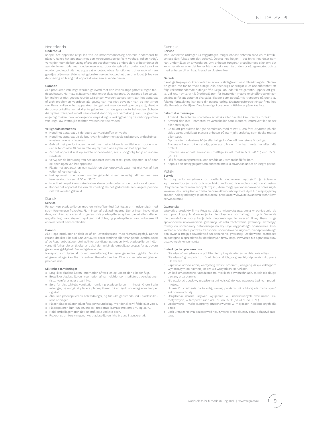#### Nederlands

#### Onderhoud

Koppel het apparaat altijd los van de stroomvoorziening alvorens onderhoud te plegen. Reinig het apparaat met een microvezeldoekje (licht vochtig, indien nodig). Verwijder nooit de behuizing of andere beschermende onderdelen; er bevinden zich aan de binnenzijde geen onderdelen waar door de gebruiker onderhoud aan kan worden gepleegd. Als het apparaat onbetrouwbaar functioneert of er rook of nare geurtjes vrijkomen tijdens het gebruiken ervan, koppel het dan onmiddellijk los van de voeding en breng het apparaat naar een erkende dealer.

#### Garantie

Alle producten van Rega worden geleverd met een levenslange garantie tegen fabricagefouten. Normale slijtage valt niet onder deze garantie. De garantie kan vervallen indien er niet-goedgekeurde wijzigingen worden aangebracht aan het apparaat of zich problemen voordoen als gevolg van het niet opvolgen van de richtlijnen van Rega. Indien u het apparatuur terugstuurt naar de verkopende partij, dient u de oorspronkelijke verpakking te gebruiken om de garantie te behouden. Schade die tijdens transport wordt veroorzaakt door onjuiste verpakking, kan uw garantie ongeldig maken. Een vervangende verpakking is verkrijgbaar bij de verkooppunten van Rega. Uw wettelijke rechten worden niet beïnvloed.

#### Veiligheidsinstructies

○ Houd het apparaat uit de buurt van vloeistoffen en vocht.

- Houd het apparaat uit de buurt van hittebronnen zoals radiatoren, ontluchtingsroosters, ovens of kaarsen.
- Gebruik het product alleen in ruimtes met voldoende ventilatie en zorg ervoor dat er tenminste 10 cm ruimte vrij blijft aan alle zijden van het apparaat.
- o Zet het apparaat niet op zachte oppervlakken, zoals hoogpolig tapijt en andere weefsels.
- Verwijder de behuizing van het apparaat niet en steek geen objecten in of door de openingen van het apparaat.
- Plaats het apparaat op een stabiel en vlak oppervlak waar het niet van af kan vallen of kan kantelen.
- o Het apparaat moet alleen worden gebruikt in een gematigd klimaat met een temperatuur tussen 5 °C en 35 °C.
- Houd het verpakkingsmateriaal en kleine onderdelen uit de buurt van kinderen. ○ Koppel het apparaat los van de voeding als het gedurende een langere periode niet zal worden gebruikt.

#### Dansk

#### Service

Rengør kun pladespilleren med en mikrofiberklud (let fugtig om nødvendigt) med strømforsyningen frakoblet. Fjern ingen af beklædningerne. Der er ingen indvendige dele, som kan repareres af brugeren. Hvis pladespilleren spiller ujævnt eller udleder røg eller lugt, skal strømforsyningen frakobles, og pladespilleren skal indleveres til en kvalificeret servicetekniker.

#### Garanti

Alle Rega-produkter er dækket af en levetidsgaranti mod fremstillingsfejl. Denne garanti dækker ikke slid. Enhver uautoriseret ændring eller manglende overholdelse af de Rega-anbefalede retningslinjer ugyldiggør garantien. Hvis pladespilleren indleveres til forhandleren til eftersyn, skal den originale emballage bruges for at bevare garantiens gyldighed. Beskadigelser under

transport som følge af forkert emballering kan gøre garantien ugyldig. Erstatningsemballage kan fås fra enhver Rega-forhandler. Dine lovfæstede rettigheder påvirkes ikke.

#### Sikkerhedsanvisninger

- Brug ikke pladespilleren i nærheden af væsker, og udsæt den ikke for fugt.
- o Brug ikke pladespilleren i nærheden af varmekilder som radiatorer, ventilationsriste, komfurer eller stearinlys.
- Sørg for tilstrækkelig ventilation omkring pladespilleren mindst 10 cm i alle retninger, og undgå at placere pladespilleren på et blødt underlag som tæpper og stof.
- Åbn ikke pladespillerens beklædninger, og før ikke genstande ind i pladespillerens åbninger.
- Placer pladespilleren på et fast, jævnt underlag, hvor den ikke vil falde eller vippe.
- Pladespilleren bør kun anvendes i moderate klimaer mellem 5 °C og 35 °C.
- Hold emballagematerialet og små dele væk fra børn.
- Frakobl strømforsyningen, hvis pladespilleren ikke bruges i længere tid.

## Svenska

#### Service

Med kontakten utdragen ur vägguttaget, rengör endast enheten med en mikrofibertrasa (lätt fuktad om det behövs). Öppna inga höljen – det finns inga delar som kan underhållas av användaren. Om enheten fungerar oregelbundet eller om det kommer rök ur eller det lukter från den ska man ta ut den ur nätaggregatet och ta med enheten till en kvalificerad servicetekniker.

#### Garanti

Samtliga Rega-produkter omfattas av en livstidsgaranti mot tillverkningsfel. Garantin gäller inte för normalt slitage. Alla obehöriga ändringar eller underlåtenhet att följa rekommenderade riktlinjer från Rega kan leda till att garantin upphör att gälla. Vid retur av varor till återförsäljaren för inspektion måste originalförpackningen användas för att garantin ska gälla. Skador som uppstår vid transport på grund av felaktig förpackning kan göra din garanti ogiltig. Ersättningsförpackningar finns hos alla Rega-återförsäljare. Dina lagenliga konsumenträttigheter påverkas inte.

#### Säkerhetsanvisningar

- Använd inte enheten i närheten av vätska eller där den kan utsättas för fukt.
- Använd den inte i närheten av värmekällor som element, värmeventiler, spisar eller stearinljus.
- Se till att produkten har god ventilation med minst 10 cm fritt utrymme på alla sidor, samt undvik att placera enheten på ett mjukt underlag som tjocka mattor eller tyger.
- Öppna inte produktens hölje eller tvinga in föremål i enhetens öppningar.
- Placera enheten på en stadig, plan yta där den inte kan ramla ner eller falla omkull.
- Enheten ska endast användas i måttliga klimat mellan 5 °C (41 °F) och 35 °C (95 °F).
- Håll förpackningsmaterial och smådelar utom räckhåll för barn. ○ Koppla bort nätaggregatet om enheten inte ska användas under en längre period.

#### Polski

#### Serwis

Po odłączeniu urządzenia od zasilania sieciowego wyczyścić je ściereczką z mikrofibry (w razie potrzeby lekko zwilżoną). Nie wolno zdejmować osłon. Urządzenie nie zawiera żadnych części, które mogą być konserwowane przez użytkownika. Jeśli urządzenie działa nieprawidłowo lub wydziela dym lub nieprzyjemny zapach, należy odłączyć je od zasilacza i przekazać wykwalifikowanemu technikowi serwisowemu.

#### Gwarancja

Wszystkie produkty firmy Rega są objęte wieczystą gwarancją w odniesieniu do wad produkcyjnych. Gwarancja ta nie obejmuje normalnego zużycia. Wszelkie nieupoważnione modyfikacje lub nieprzestrzeganie zaleceń firmy Rega mogą spowodować unieważnienie gwarancji. W celu zachowania gwarancji, zwracając towary do sprzedawcy detalicznego należy użyć oryginalnego opakowania. Uszkodzenia powstałe podczas transportu spowodowane użyciem nieodpowiedniego opakowania mogą spowodować unieważnienie gwarancji. Opakowania zastępcze są dostępne u sprzedawców detalicznych firmy Rega. Powyższe nie ogranicza praw ustawowych konsumenta.

#### Instrukcje bezpieczeństwa

- Nie używać urządzenia w pobliżu cieczy i wystawiać go na działanie wilgoci. Nie używać go w pobliżu źródeł ciepła takich, jak grzejniki, odpowietrzniki, piece
- lub świece. ○ Zapewnić odpowiednią wentylację wokół produktu, osiąganą dzięki odstępom wynoszącym co najmniej 10 cm we wszystkich kierunkach.
- Unikać umieszczania urządzenia na miękkich powierzchniach, takich jak długie
- dywany oraz tkaniny. Nie otwierać obudowy urządzenia ani wciskać do jego otworów żadnych przedmiotów.
- Umieścić urządzenie na twardej, równej powierzchni, z której nie może spaść ani przewrócić się.
- Urządzenia można używać wyłącznie w umiarkowanych warunkach kli-matycznych, w temperaturach od 5 °C do 35 °C (od 41 °F do 95 °F).
- Opakowanie i małe elementy przechowywać w miejscach niedostępnych dla dzieci.
- Jeśli urządzenie ma pozostawać nieużywane przez dłuższy czas, odłączyć zasilacz.